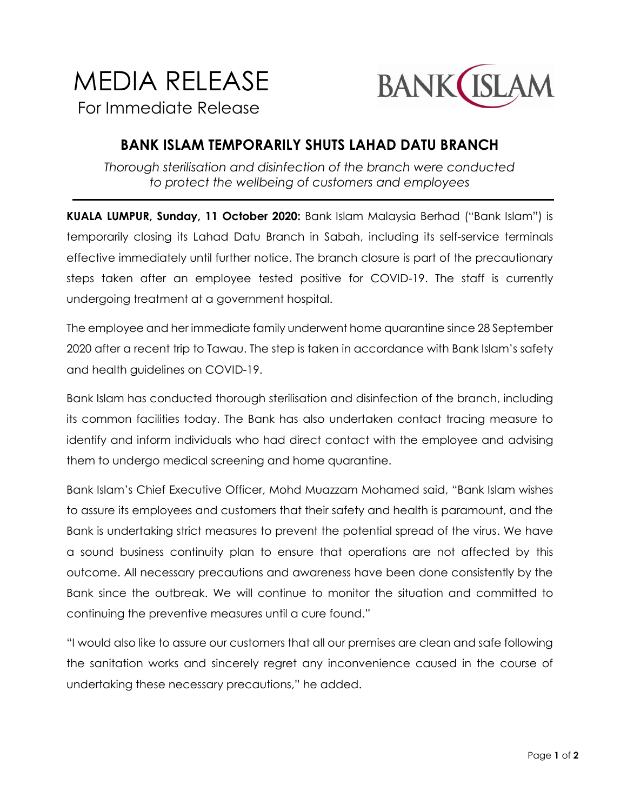## MEDIA RELEASE For Immediate Release



## **BANK ISLAM TEMPORARILY SHUTS LAHAD DATU BRANCH**

*Thorough sterilisation and disinfection of the branch were conducted to protect the wellbeing of customers and employees*

**KUALA LUMPUR, Sunday, 11 October 2020:** Bank Islam Malaysia Berhad ("Bank Islam") is temporarily closing its Lahad Datu Branch in Sabah, including its self-service terminals effective immediately until further notice. The branch closure is part of the precautionary steps taken after an employee tested positive for COVID-19. The staff is currently undergoing treatment at a government hospital.

The employee and her immediate family underwent home quarantine since 28 September 2020 after a recent trip to Tawau. The step is taken in accordance with Bank Islam's safety and health guidelines on COVID-19.

Bank Islam has conducted thorough sterilisation and disinfection of the branch, including its common facilities today. The Bank has also undertaken contact tracing measure to identify and inform individuals who had direct contact with the employee and advising them to undergo medical screening and home quarantine.

Bank Islam's Chief Executive Officer, Mohd Muazzam Mohamed said, "Bank Islam wishes to assure its employees and customers that their safety and health is paramount, and the Bank is undertaking strict measures to prevent the potential spread of the virus. We have a sound business continuity plan to ensure that operations are not affected by this outcome. All necessary precautions and awareness have been done consistently by the Bank since the outbreak. We will continue to monitor the situation and committed to continuing the preventive measures until a cure found."

"I would also like to assure our customers that all our premises are clean and safe following the sanitation works and sincerely regret any inconvenience caused in the course of undertaking these necessary precautions," he added.